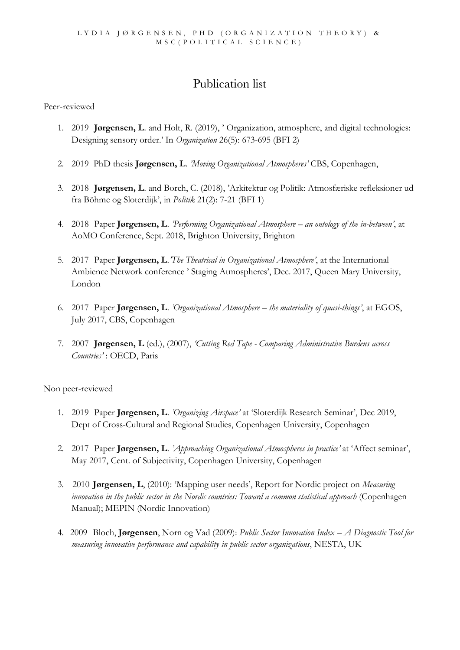## Publication list

Peer-reviewed

- 1. 2019 **Jørgensen, L**. and Holt, R. (2019), ' Organization, atmosphere, and digital technologies: Designing sensory order.' In *Organization* 26(5): 673-695 (BFI 2)
- 2. 2019 PhD thesis **Jørgensen, L**. *'Moving Organizational Atmospheres'* CBS, Copenhagen,
- 3. 2018 **Jørgensen, L**. and Borch, C. (2018), 'Arkitektur og Politik: Atmosfæriske refleksioner ud fra Böhme og Sloterdijk', in *Politik* 21(2): 7-21 (BFI 1)
- 4. 2018 Paper **Jørgensen, L**. *'Performing Organizational Atmosphere – an ontology of the in-between'*, at AoMO Conference, Sept. 2018, Brighton University, Brighton
- 5. 2017 Paper **Jørgensen, L**.*'The Theatrical in Organizational Atmosphere'*, at the International Ambience Network conference ' Staging Atmospheres', Dec. 2017, Queen Mary University, London
- 6. 2017 Paper **Jørgensen, L**. *'Organizational Atmosphere – the materiality of quasi-things'*, at EGOS, July 2017, CBS, Copenhagen
- 7. 2007 **Jørgensen, L** (ed.), (2007), *'Cutting Red Tape - Comparing Administrative Burdens across Countries'* : OECD, Paris

Non peer-reviewed

- 1. 2019 Paper **Jørgensen, L**. *'Organizing Airspace'* at 'Sloterdijk Research Seminar', Dec 2019, Dept of Cross-Cultural and Regional Studies, Copenhagen University, Copenhagen
- 2. 2017 Paper **Jørgensen, L**. *'Approaching Organizational Atmospheres in practice'* at 'Affect seminar', May 2017, Cent. of Subjectivity, Copenhagen University, Copenhagen
- 3. 2010 **Jørgensen, L**, (2010): 'Mapping user needs', Report for Nordic project on *Measuring innovation in the public sector in the Nordic countries: Toward a common statistical approach* (Copenhagen Manual); MEPIN (Nordic Innovation)
- 4. 2009 Bloch, **Jørgensen**, Norn og Vad (2009): *Public Sector Innovation Index – A Diagnostic Tool for measuring innovative performance and capability in public sector organizations*, NESTA, UK